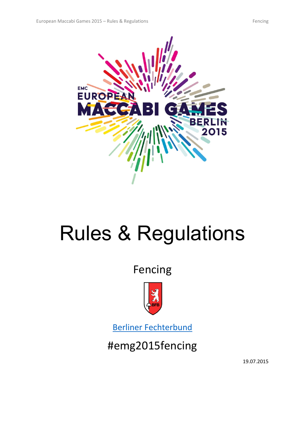

# Rules & Regulations

Fencing



Berliner Fechterbund

#emg2015fencing

19.07.2015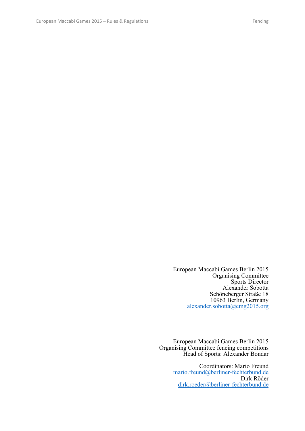European Maccabi Games Berlin 2015 Organising Committee Sports Director Alexander Sobotta Schöneberger Straße 18 10963 Berlin, Germany alexander.sobotta@emg2015.org

 European Maccabi Games Berlin 2015 Organising Committee fencing competitions Head of Sports: Alexander Bondar

> Coordinators: Mario Freund mario.freund@berliner-fechterbund.de Dirk Röder dirk.roeder@berliner-fechterbund.de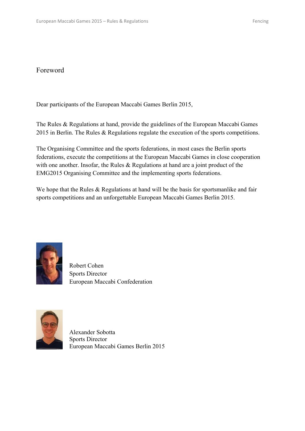Foreword

Dear participants of the European Maccabi Games Berlin 2015,

The Rules & Regulations at hand, provide the guidelines of the European Maccabi Games 2015 in Berlin. The Rules & Regulations regulate the execution of the sports competitions.

The Organising Committee and the sports federations, in most cases the Berlin sports federations, execute the competitions at the European Maccabi Games in close cooperation with one another. Insofar, the Rules & Regulations at hand are a joint product of the EMG2015 Organising Committee and the implementing sports federations.

We hope that the Rules & Regulations at hand will be the basis for sportsmanlike and fair sports competitions and an unforgettable European Maccabi Games Berlin 2015.



Robert Cohen Sports Director European Maccabi Confederation



Alexander Sobotta Sports Director European Maccabi Games Berlin 2015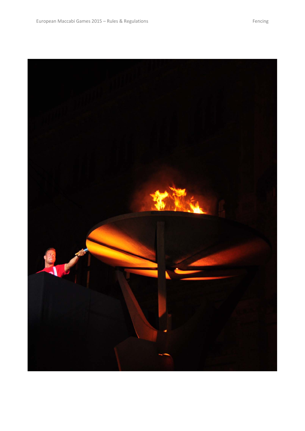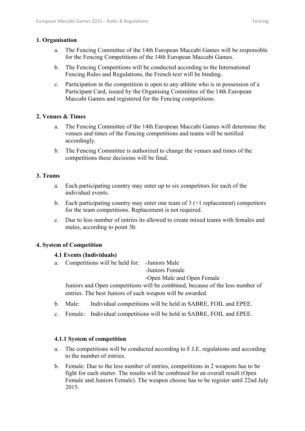# **1. Organisation**

- a. The Fencing Committee of the 14th European Maccabi Games will be responsible for the Fencing Competitions of the 14th European Maccabi Games.
- b. The Fencing Competitions will be conducted according to the International Fencing Rules and Regulations, the French text will be binding.
- c. Participation in the competition is open to any athlete who is in possession of a Participant Card, issued by the Organising Committee of the 14th European Maccabi Games and registered for the Fencing competitions.

# **2. Venues & Times**

- a. The Fencing Committee of the 14th European Maccabi Games will determine the venues and times of the Fencing competitions and teams will be notified accordingly.
- b. The Fencing Committee is authorized to change the venues and times of the competitions these decisions will be final.

# **3. Teams**

- a. Each participating country may enter up to six competitors for each of the individual events.
- b. Each participating country may enter one team of  $3 (+1$  replacement) competitors for the team competitions. Replacement is not required.
- c. Due to less number of entries its allowed to create mixed teams with females and males, according to point 3b.

# **4. System of Competition**

# **4.1 Events (Individuals)**

a. Competitions will be held for: -Juniors Male

-Juniors Female

-Open Male and Open Female

Juniors and Open competitions will be combined, because of the less number of entries. The best Juniors of each weapon will be awarded.

- b. Male: Individual competitions will be held in SABRE, FOIL and EPEE.
- c. Female: Individual competitions will be held in SABRE, FOIL and EPEE.

# **4.1.1 System of competition**

- a. The competitions will be conducted according to F.I.E. regulations and according to the number of entries.
- b. Female: Due to the less number of entries, competitions in 2 weapons has to be fight for each starter. The results will be combined for an overall result (Open Female and Juniors Female). The weapon choose has to be register until 22nd July 2015.